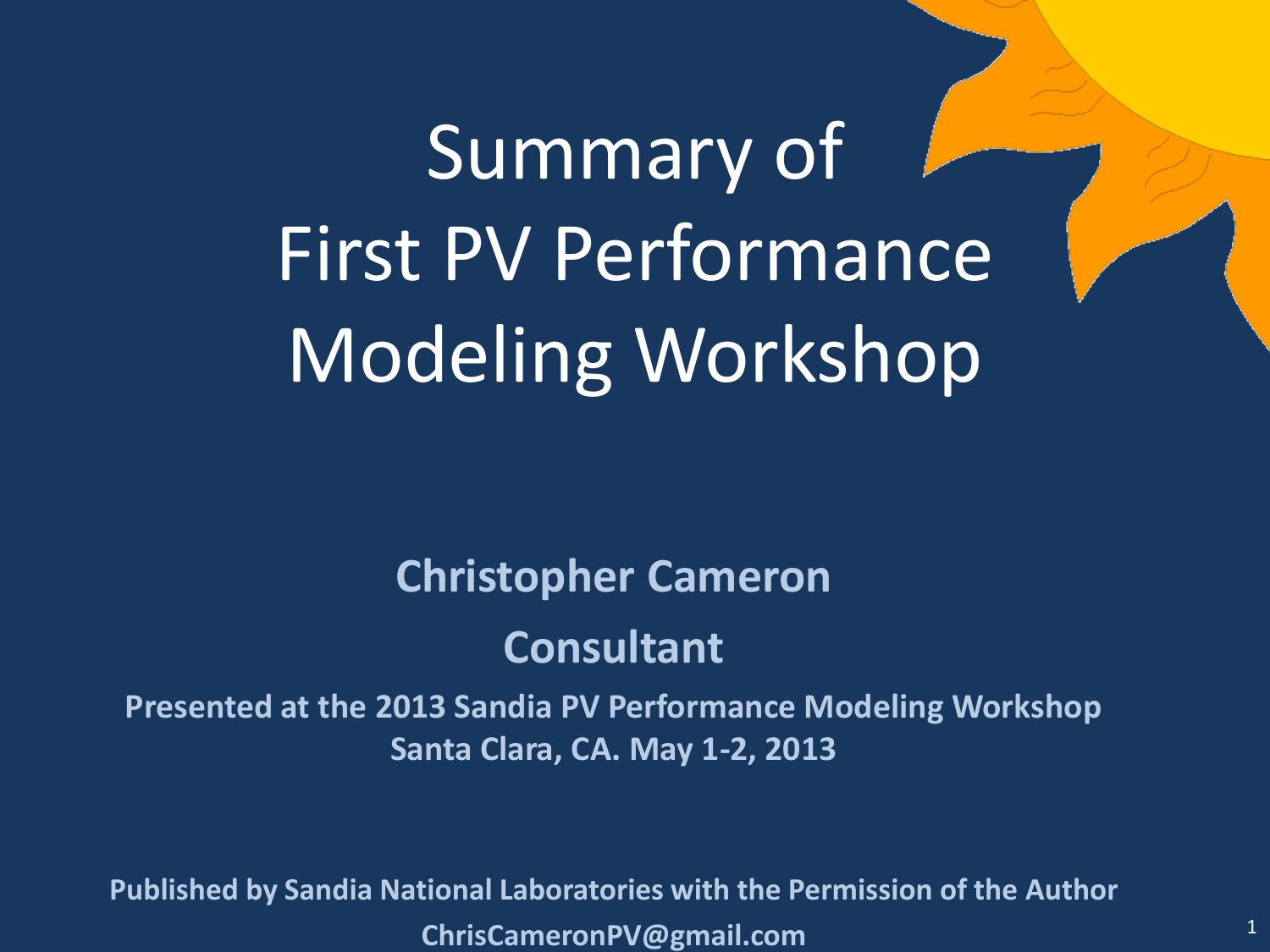# Summary of First PV Performance Modeling Workshop

## **Christopher Cameron**

### **Consultant**

**Presented at the 2013 Sandia PV Performance Modeling Workshop Santa Clara, CA. May 1-2, 2013**

**Published by Sandia National Laboratories with the Permission of the Author ChrisCameronPV@gmail.com** <sup>1</sup>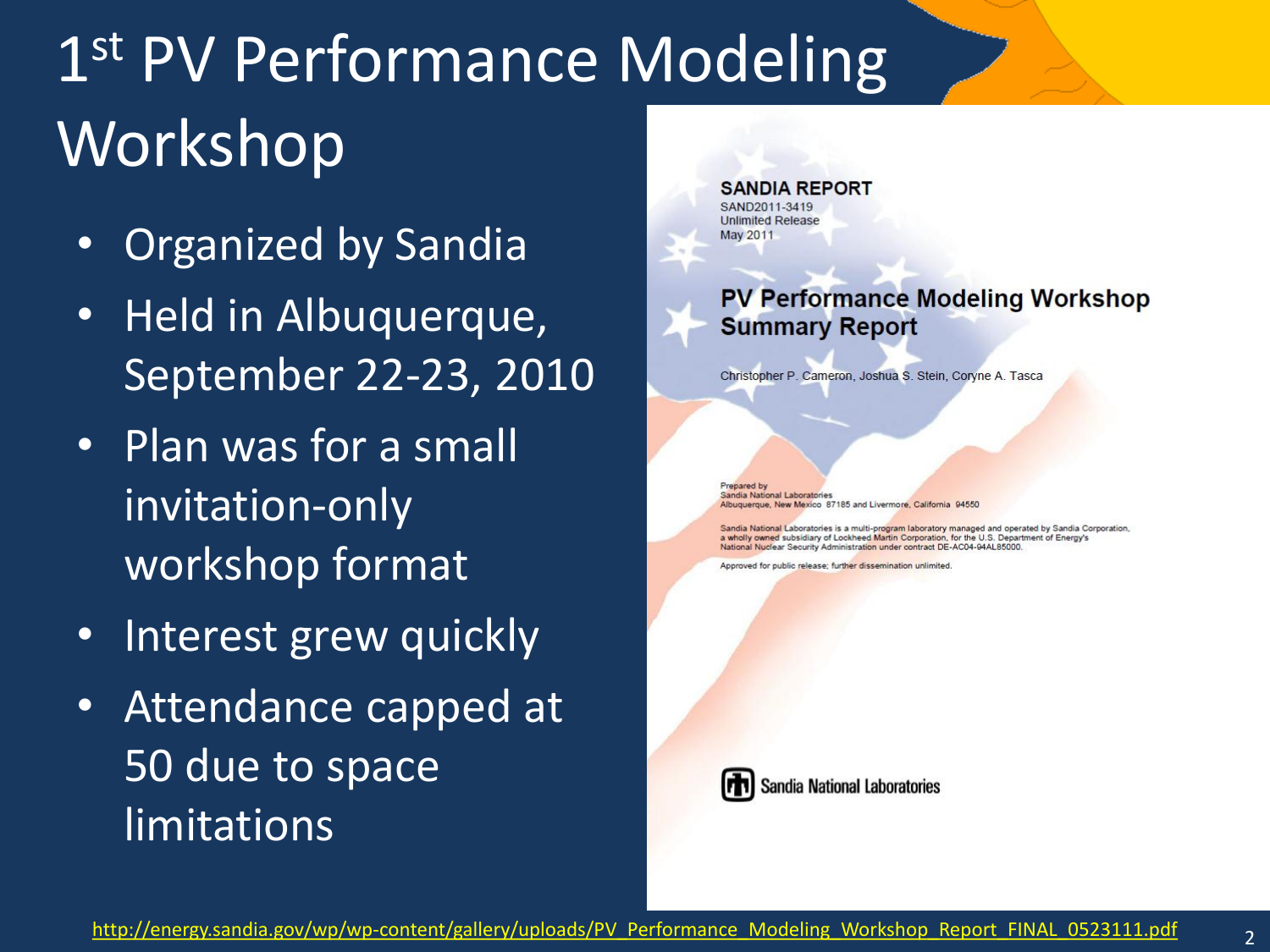## 1st PV Performance Modeling Workshop

- Organized by Sandia
- Held in Albuquerque, September 22-23, 2010
- Plan was for a small invitation-only workshop format
- Interest grew quickly
- Attendance capped at 50 due to space limitations

**SANDIA REPORT** SAND2011-3419 **Unlimited Release** May 2011

#### **PV Performance Modeling Workshop Summary Report**

Christopher P. Cameron, Joshua S. Stein, Coryne A. Tasca

Prepared by Sandia National Laboratories Ibuquerque, New Mexico 87185 and Livermore, California 94550

Sandia National Laboratories is a multi-program laboratory managed and operated by Sandia Corporation,<br>a wholly owned subsidiary of Lockheed Martin Corporation, for the U.S. Department of Energy's National Nuclear Security Administration under contract DE-AC04-94AL85000.

Approved for public release; further dissemination unlimited



**Sandia National Laboratories**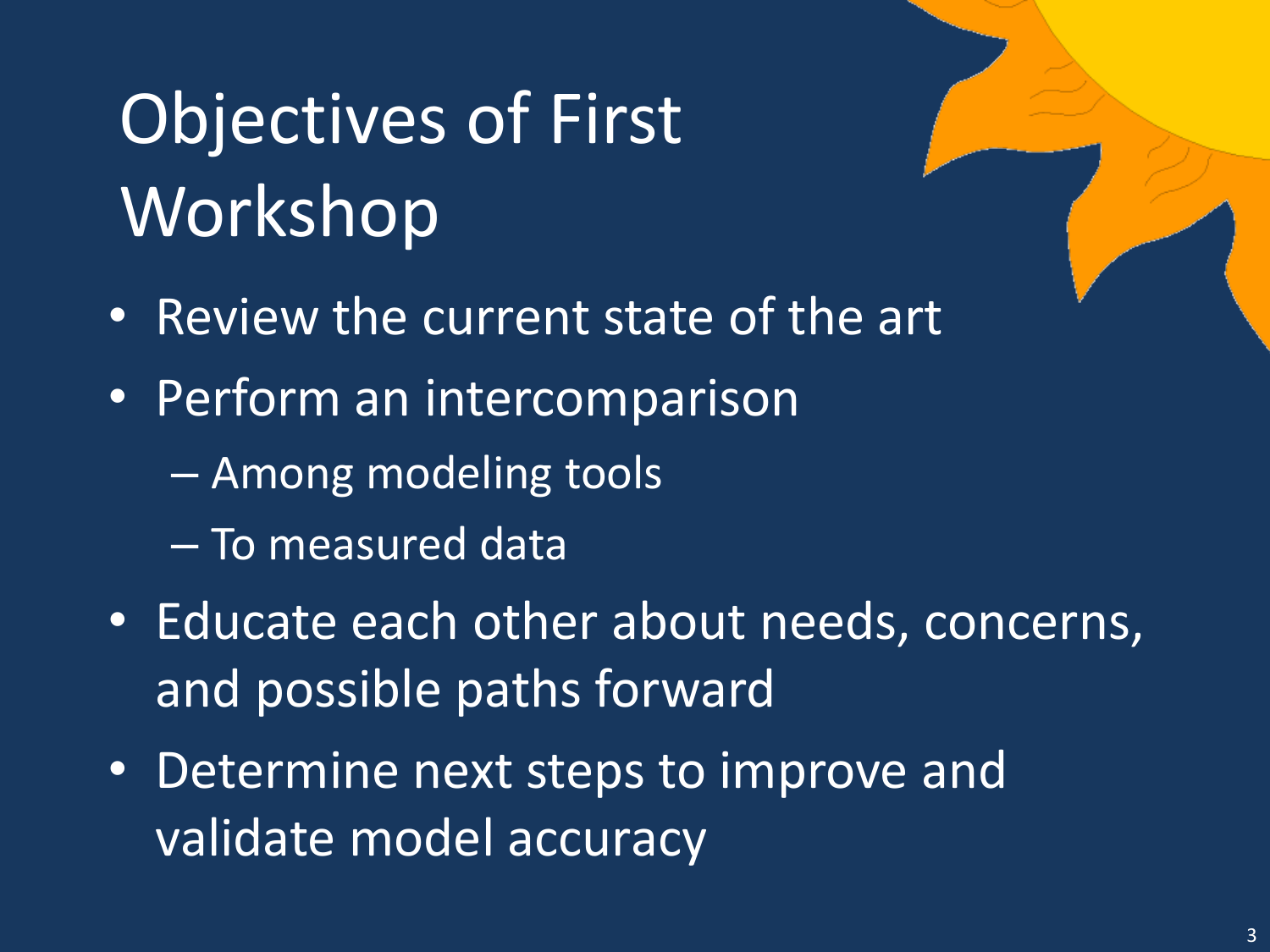# Objectives of First Workshop

- Review the current state of the art
- Perform an intercomparison
	- Among modeling tools
	- To measured data
- Educate each other about needs, concerns, and possible paths forward
- Determine next steps to improve and validate model accuracy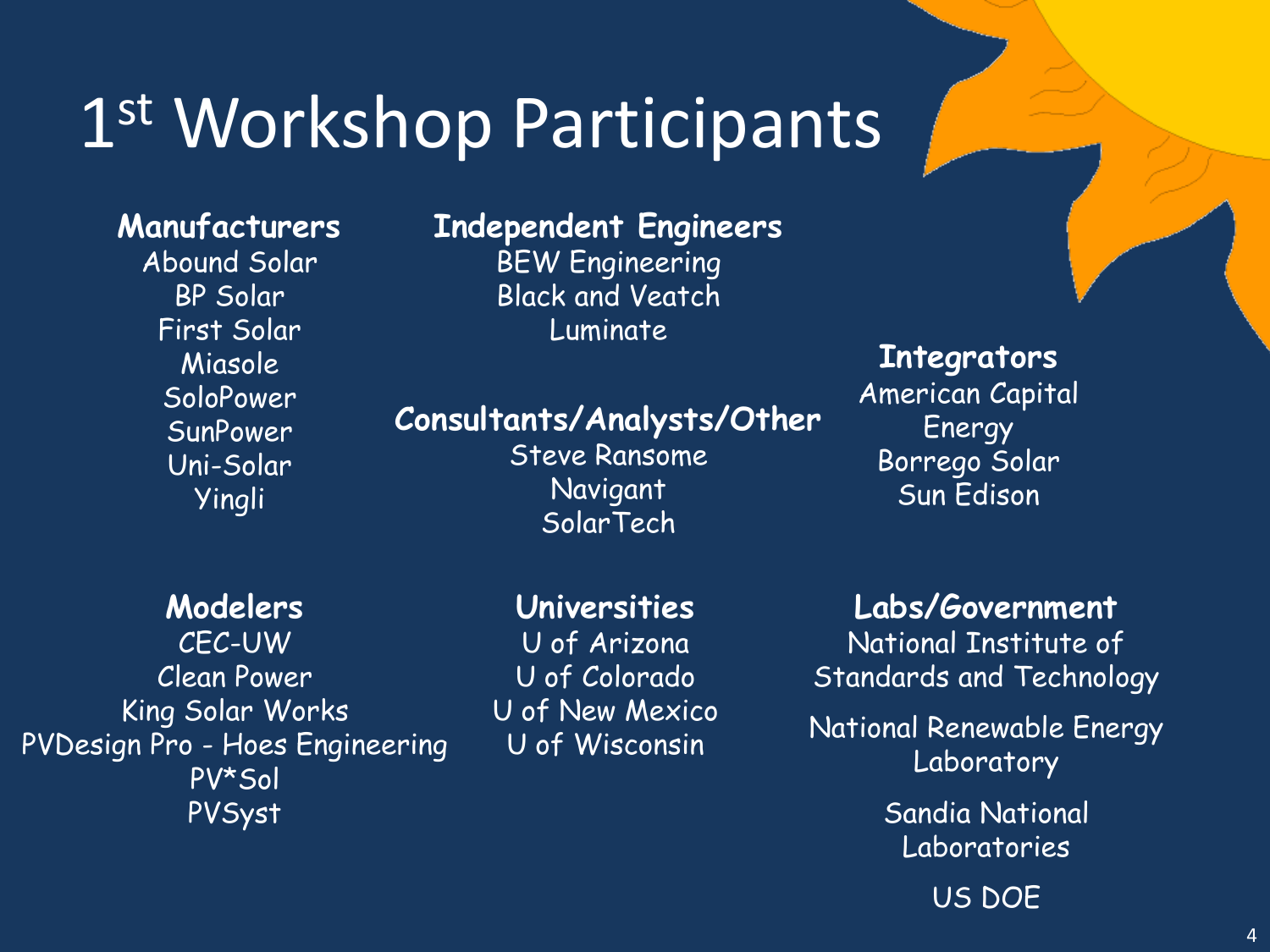## 1 st Workshop Participants

#### **Manufacturers**

Abound Solar BP Solar First Solar Miasole SoloPower SunPower Uni-Solar Yingli

#### **Independent Engineers**

BEW Engineering Black and Veatch Luminate

### **Consultants/Analysts/Other**

Steve Ransome **Navigant** SolarTech

#### **Integrators**

American Capital Energy Borrego Solar Sun Edison

#### **Modelers**

CEC-UW Clean Power King Solar Works PVDesign Pro - Hoes Engineering PV\*Sol PVSyst

#### **Universities**

U of Arizona U of Colorado U of New Mexico U of Wisconsin

### **Labs/Government**

National Institute of Standards and Technology

National Renewable Energy Laboratory

> Sandia National Laboratories

> > US DOE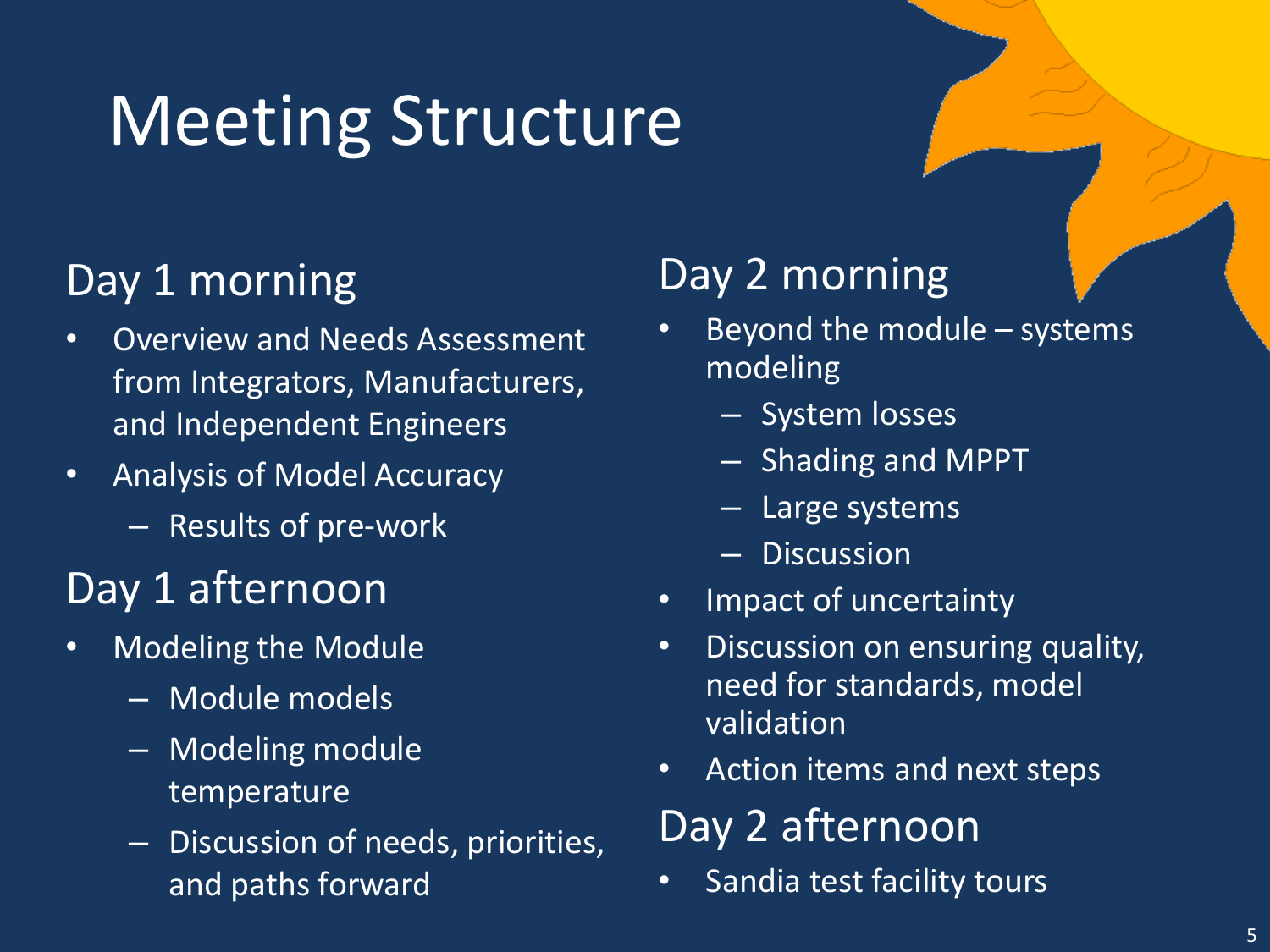## Meeting Structure

### Day 1 morning

- Overview and Needs Assessment from Integrators, Manufacturers, and Independent Engineers
- Analysis of Model Accuracy
	- Results of pre-work

### Day 1 afternoon

- Modeling the Module
	- Module models
	- Modeling module temperature
	- Discussion of needs, priorities, and paths forward

### Day 2 morning

- Beyond the module systems modeling
	- System losses
	- Shading and MPPT
	- Large systems
	- Discussion
- Impact of uncertainty
- Discussion on ensuring quality, need for standards, model validation
- Action items and next steps

### Day 2 afternoon

Sandia test facility tours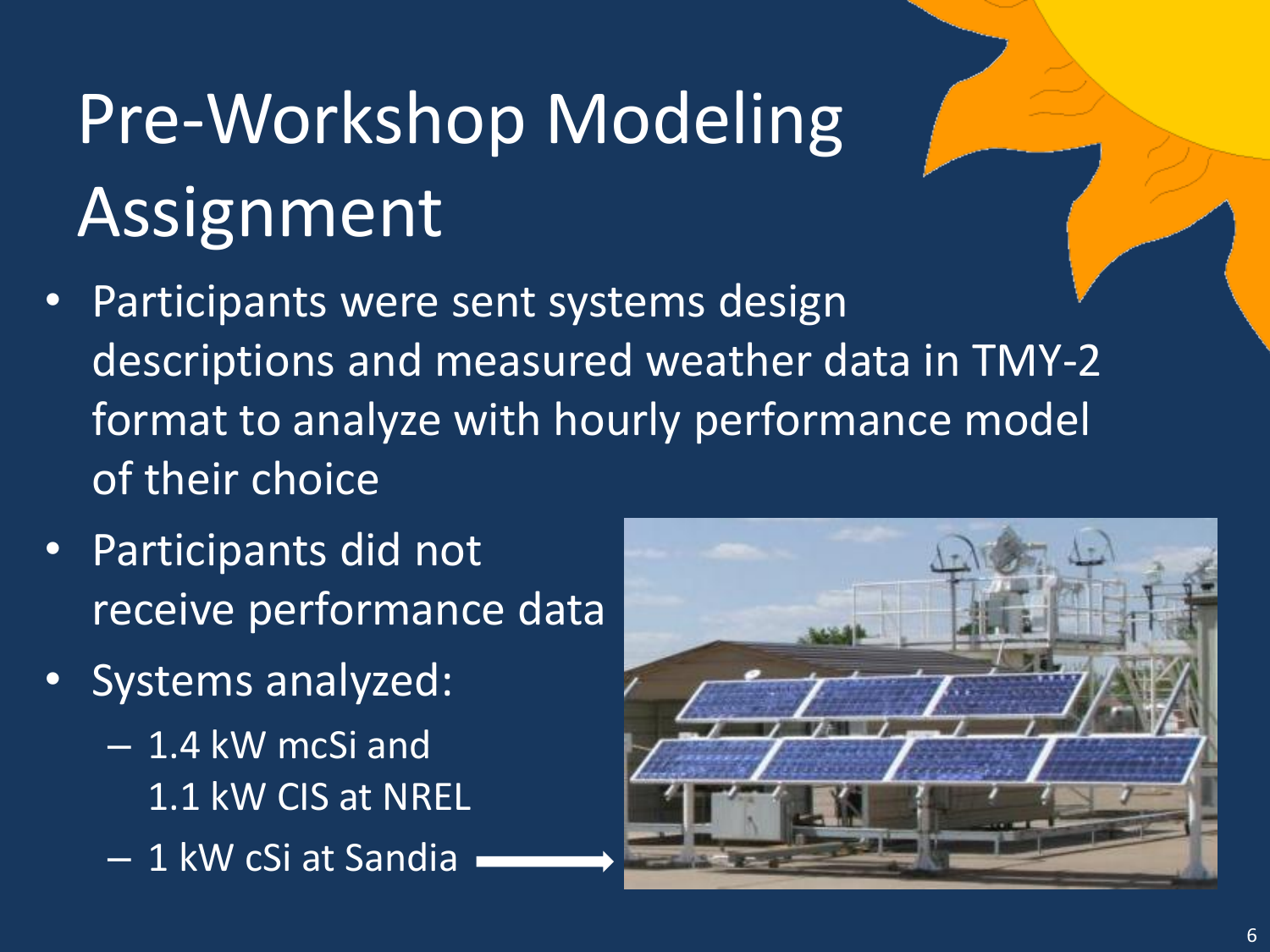# Pre-Workshop Modeling Assignment

- Participants were sent systems design descriptions and measured weather data in TMY-2 format to analyze with hourly performance model of their choice
- Participants did not receive performance data
- Systems analyzed:
	- 1.4 kW mcSi and 1.1 kW CIS at NREL
	- 1 kW cSi at Sandia

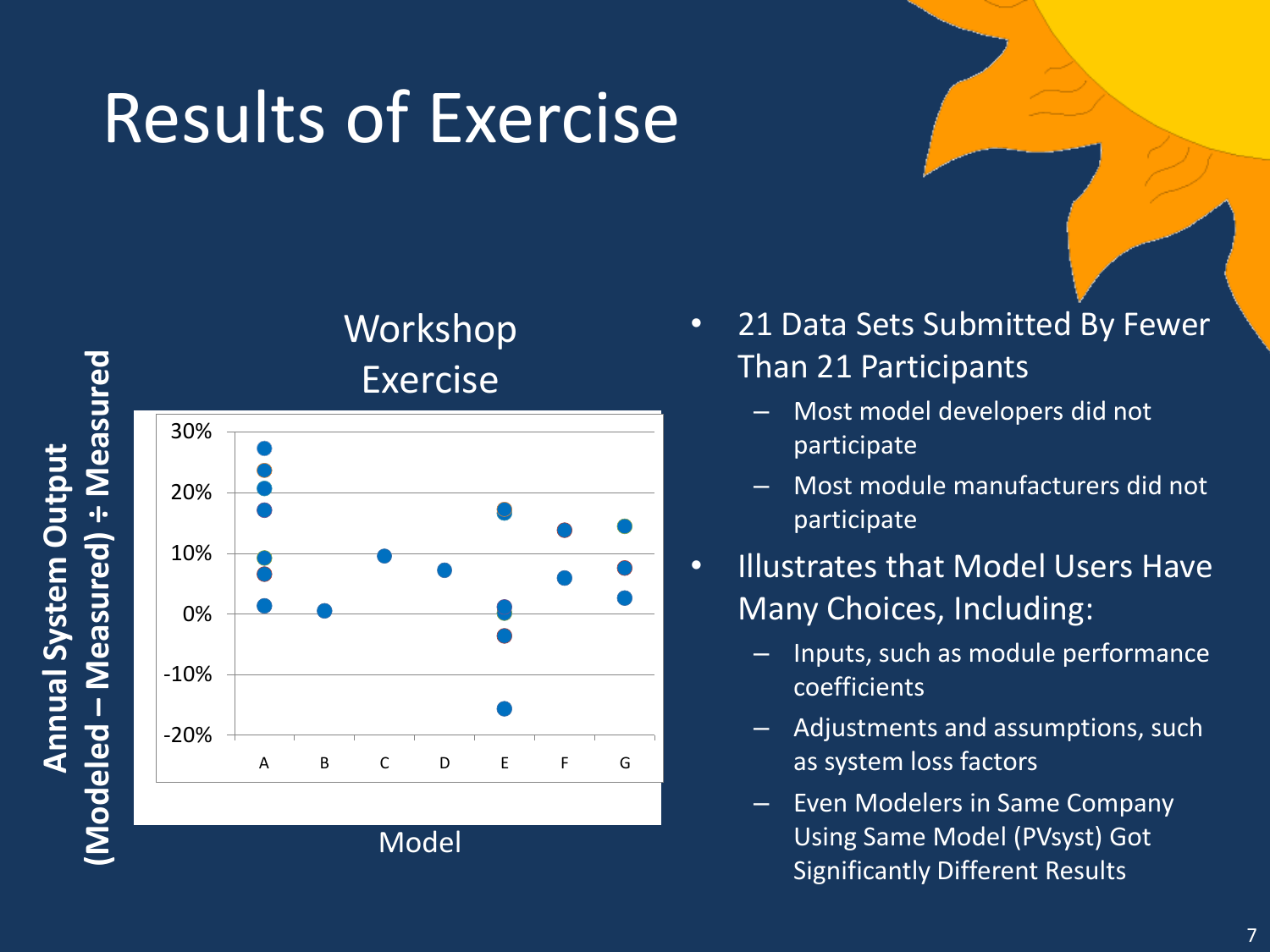## Results of Exercise

**÷ Measured Annual System Output Annual System Output – Measured)** 

### -20% -10% 0% 10% 20% 30% **A** B C D E F G<br>
Model<br>
Model Workshop Exercise Model

- 21 Data Sets Submitted By Fewer Than 21 Participants
	- Most model developers did not participate
	- Most module manufacturers did not participate
- Illustrates that Model Users Have Many Choices, Including:
	- Inputs, such as module performance coefficients
	- Adjustments and assumptions, such as system loss factors
	- Even Modelers in Same Company Using Same Model (PVsyst) Got Significantly Different Results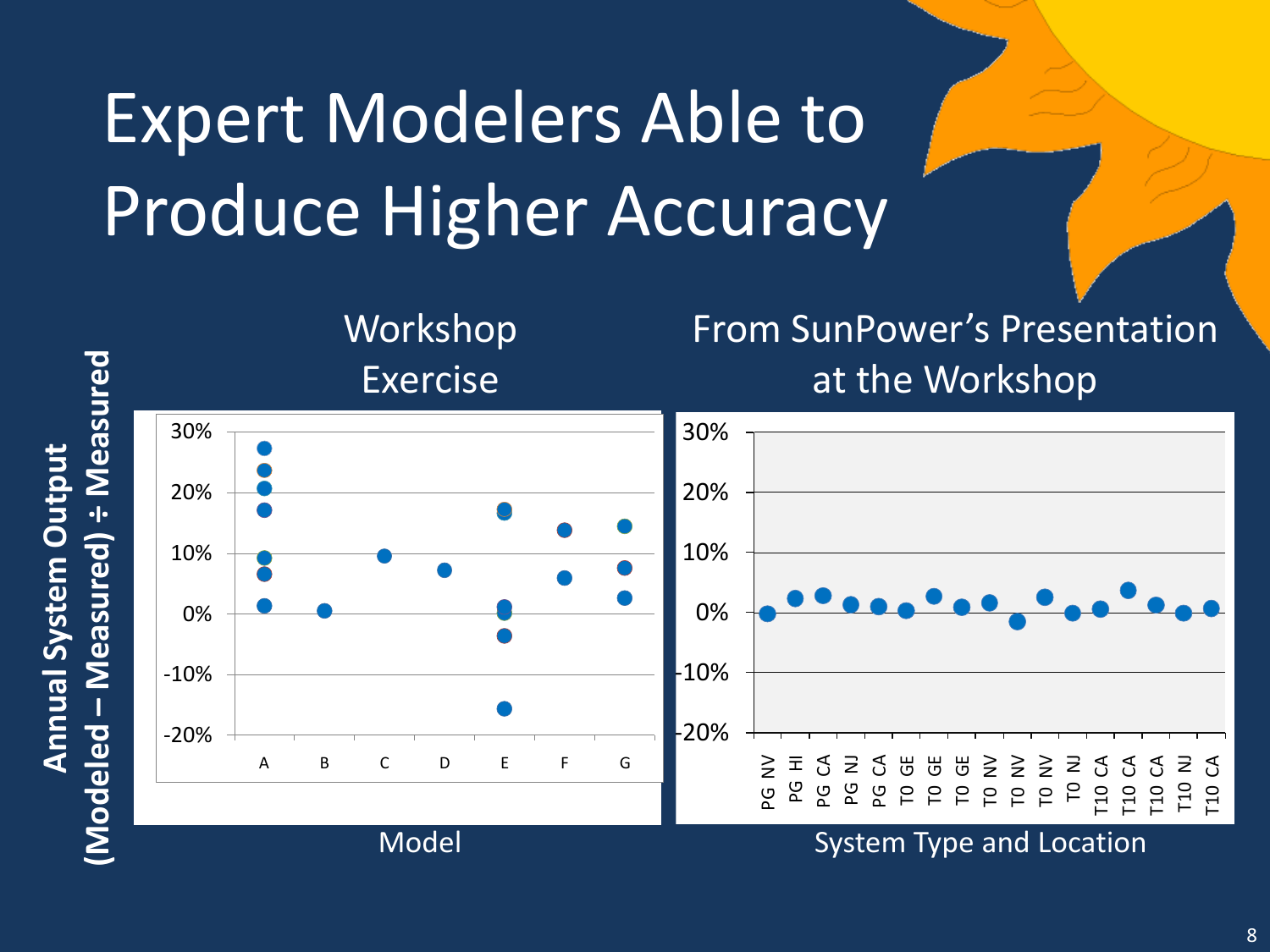# Expert Modelers Able to Produce Higher Accuracy

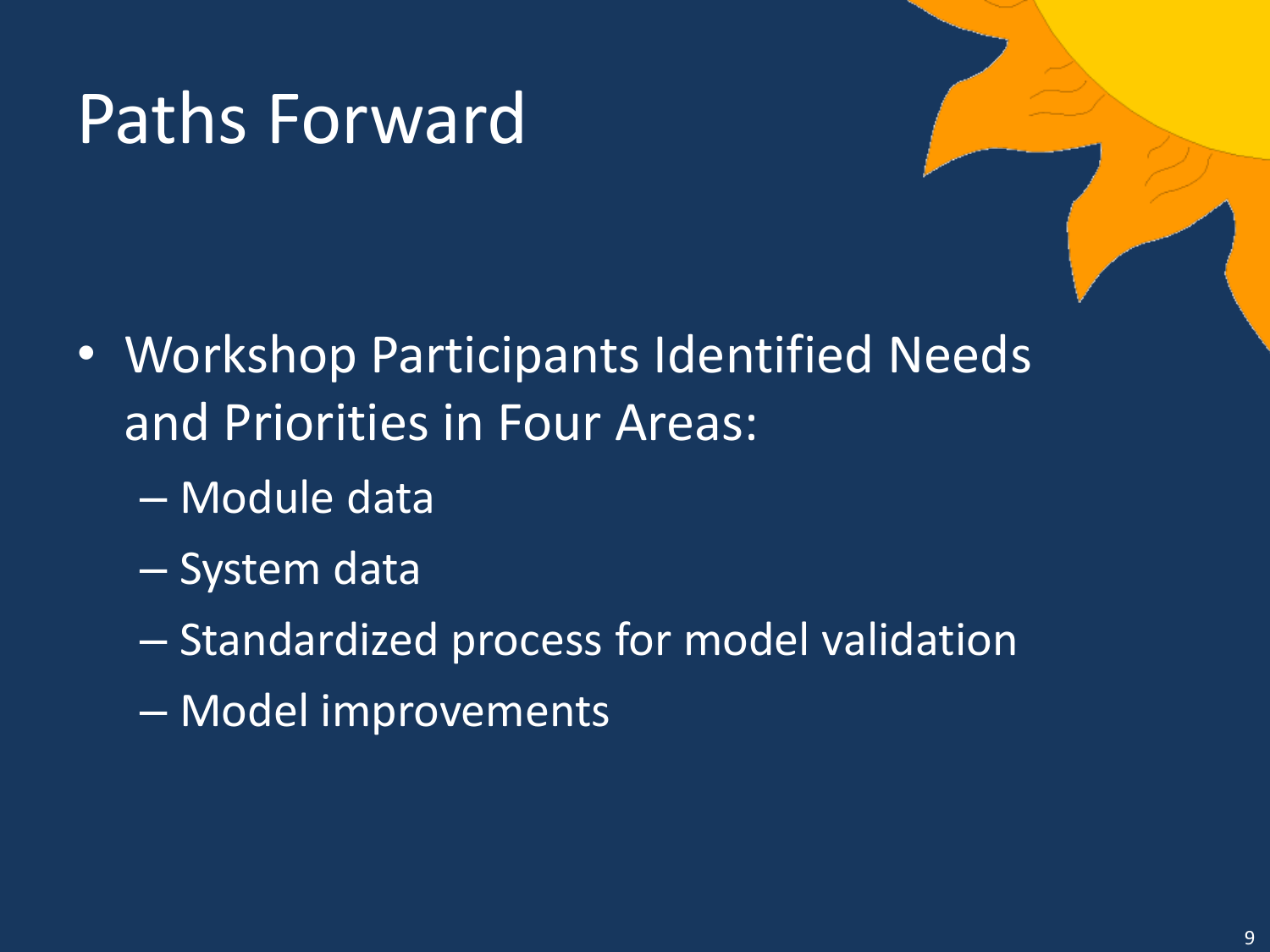## Paths Forward

- Workshop Participants Identified Needs and Priorities in Four Areas:
	- Module data
	- System data
	- Standardized process for model validation
	- Model improvements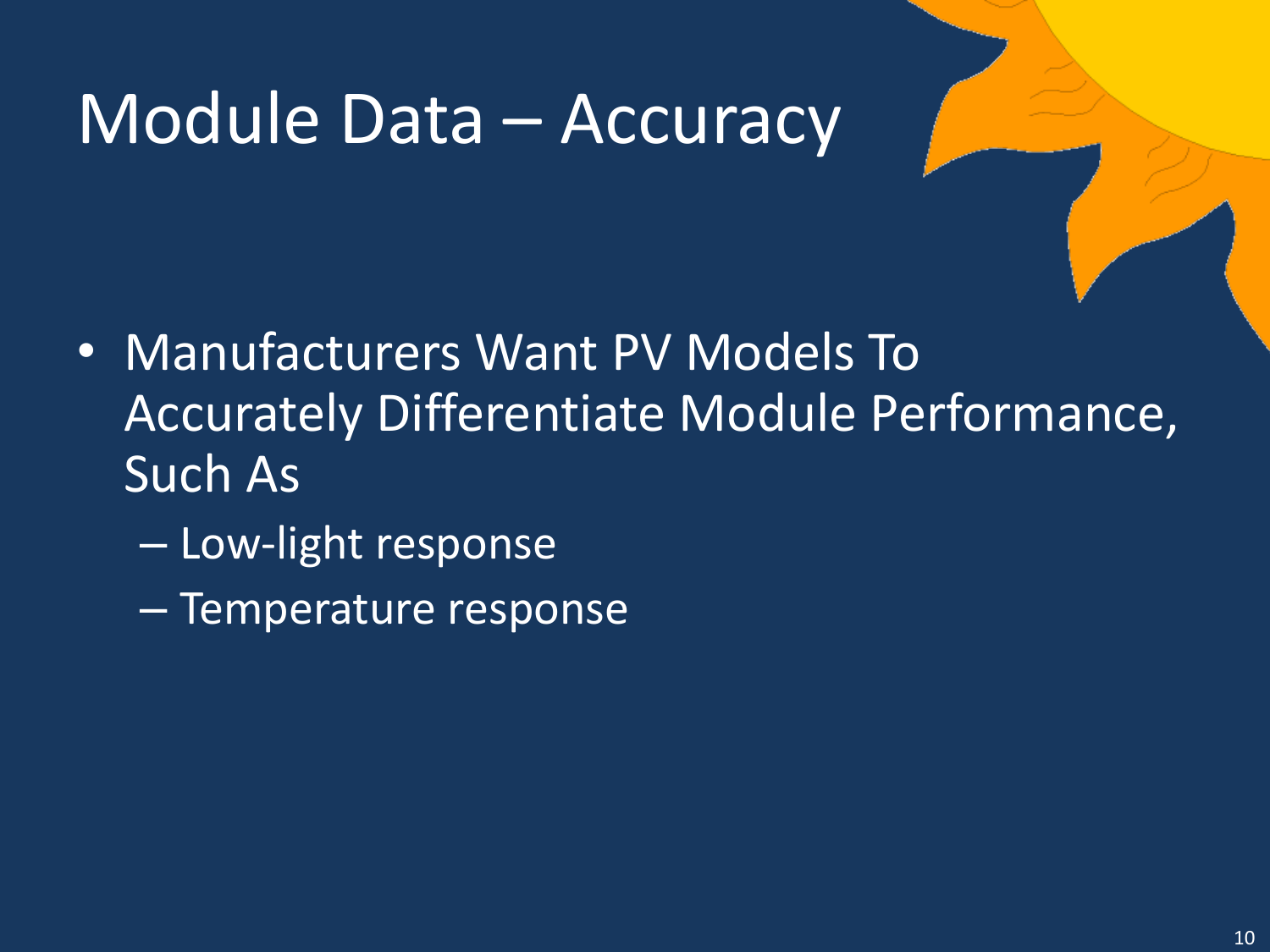## Module Data – Accuracy

- Manufacturers Want PV Models To Accurately Differentiate Module Performance, Such As
	- Low-light response
	- Temperature response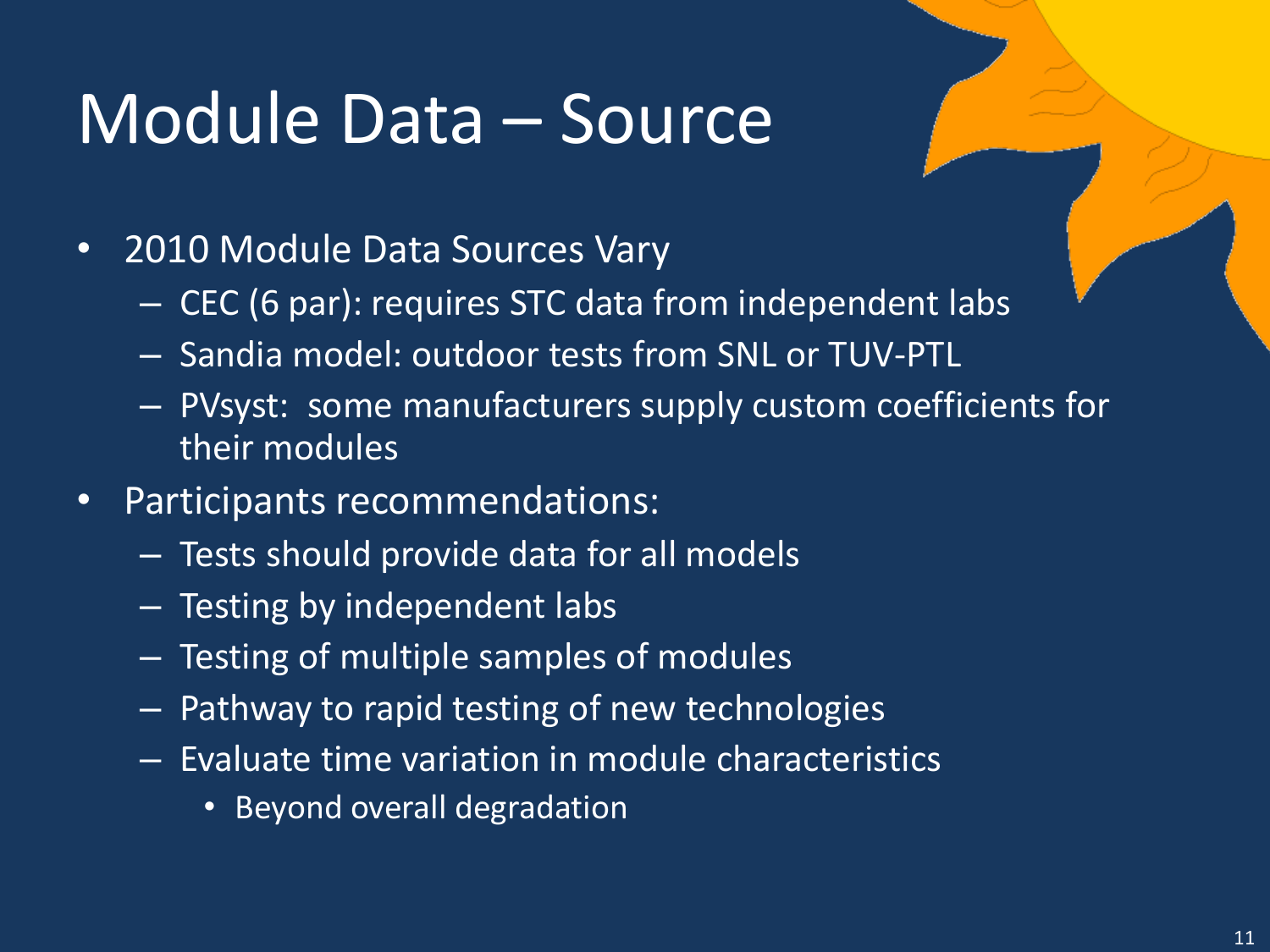## Module Data – Source

- 2010 Module Data Sources Vary
	- CEC (6 par): requires STC data from independent labs
	- Sandia model: outdoor tests from SNL or TUV-PTL
	- PVsyst: some manufacturers supply custom coefficients for their modules
- Participants recommendations:
	- Tests should provide data for all models
	- Testing by independent labs
	- Testing of multiple samples of modules
	- Pathway to rapid testing of new technologies
	- Evaluate time variation in module characteristics
		- Beyond overall degradation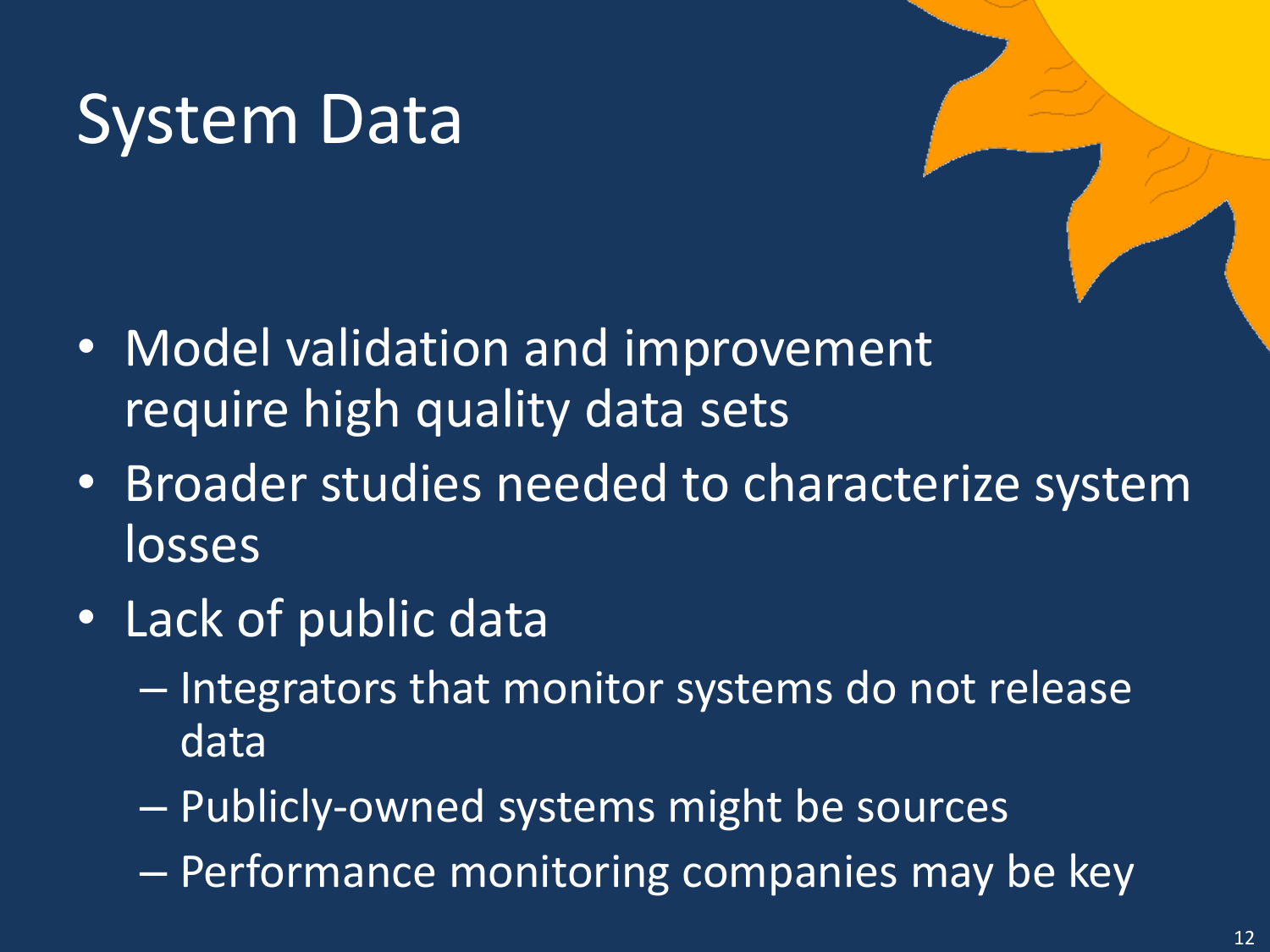## System Data

- Model validation and improvement require high quality data sets
- Broader studies needed to characterize system losses
- Lack of public data
	- Integrators that monitor systems do not release data
	- Publicly-owned systems might be sources
	- Performance monitoring companies may be key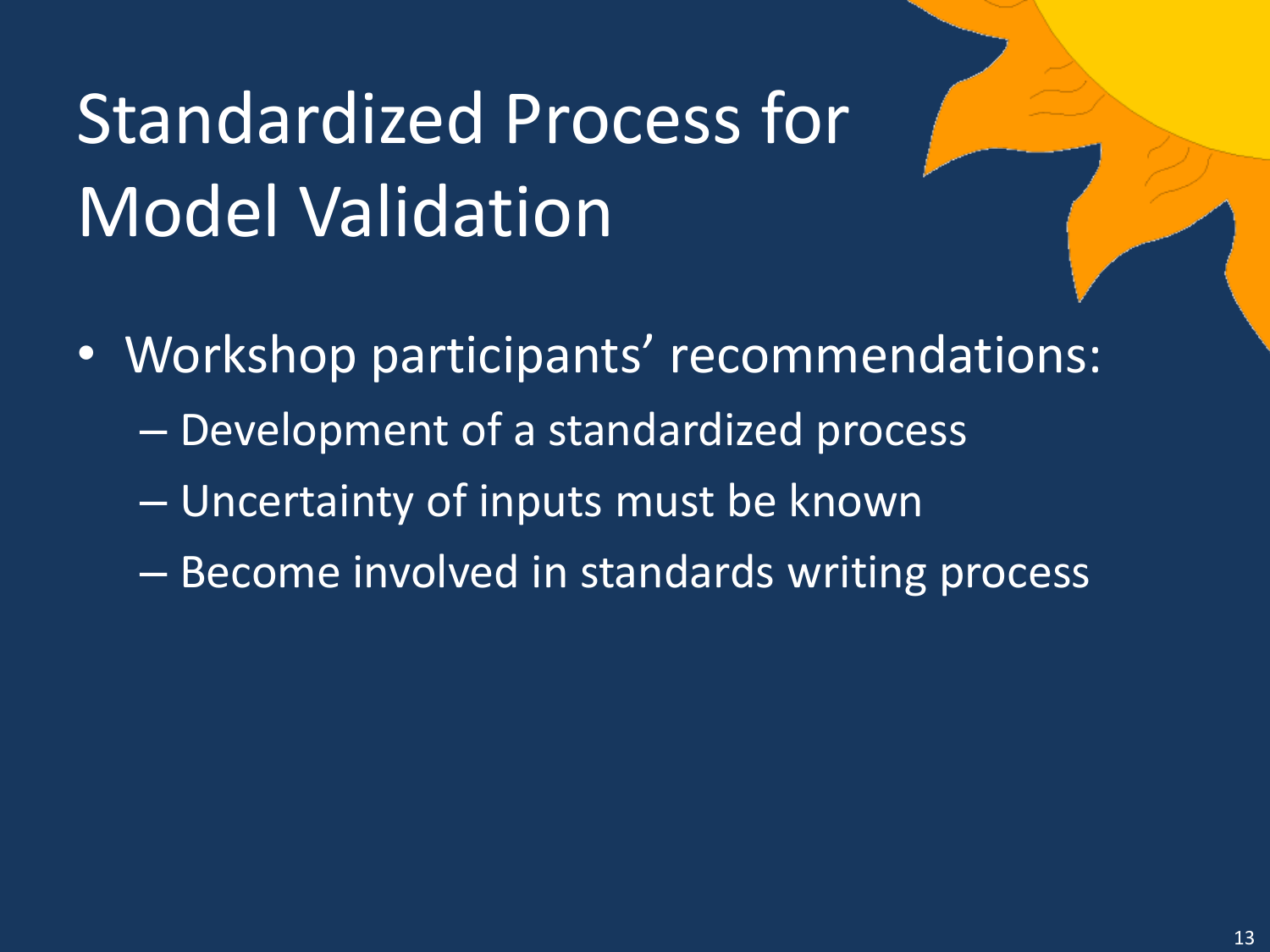# Standardized Process for Model Validation

- Workshop participants' recommendations:
	- Development of a standardized process
	- Uncertainty of inputs must be known
	- Become involved in standards writing process